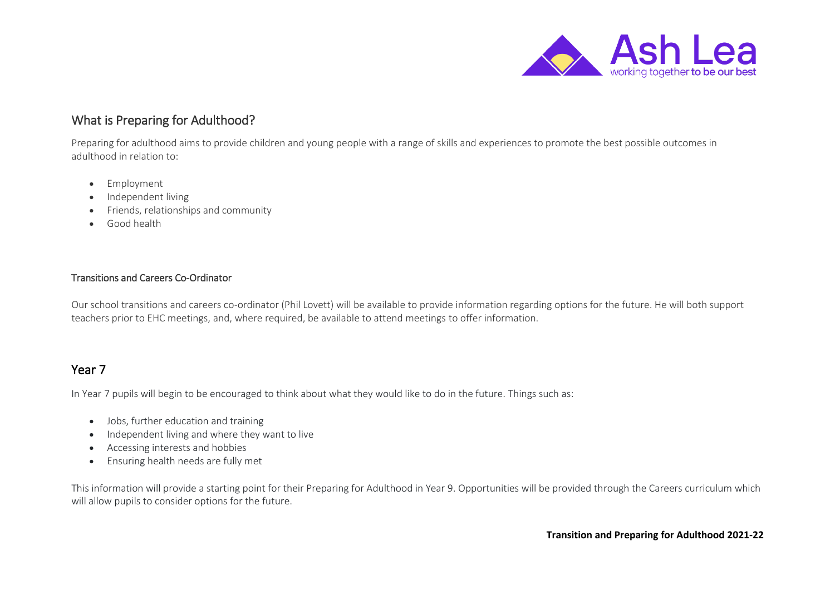

# What is Preparing for Adulthood?

Preparing for adulthood aims to provide children and young people with a range of skills and experiences to promote the best possible outcomes in adulthood in relation to:

- Employment
- Independent living
- Friends, relationships and community
- Good health

#### Transitions and Careers Co-Ordinator

Our school transitions and careers co-ordinator (Phil Lovett) will be available to provide information regarding options for the future. He will both support teachers prior to EHC meetings, and, where required, be available to attend meetings to offer information.

# Year 7

In Year 7 pupils will begin to be encouraged to think about what they would like to do in the future. Things such as:

- Jobs, further education and training
- Independent living and where they want to live
- Accessing interests and hobbies
- Ensuring health needs are fully met

This information will provide a starting point for their Preparing for Adulthood in Year 9. Opportunities will be provided through the Careers curriculum which will allow pupils to consider options for the future.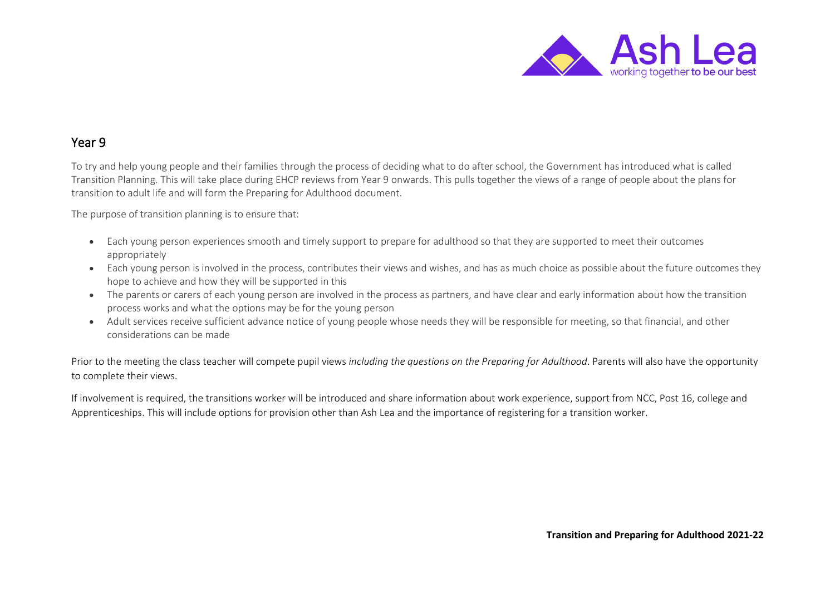

#### Year 9

To try and help young people and their families through the process of deciding what to do after school, the Government has introduced what is called Transition Planning. This will take place during EHCP reviews from Year 9 onwards. This pulls together the views of a range of people about the plans for transition to adult life and will form the Preparing for Adulthood document.

The purpose of transition planning is to ensure that:

- Each young person experiences smooth and timely support to prepare for adulthood so that they are supported to meet their outcomes appropriately
- Each young person is involved in the process, contributes their views and wishes, and has as much choice as possible about the future outcomes they hope to achieve and how they will be supported in this
- The parents or carers of each young person are involved in the process as partners, and have clear and early information about how the transition process works and what the options may be for the young person
- Adult services receive sufficient advance notice of young people whose needs they will be responsible for meeting, so that financial, and other considerations can be made

Prior to the meeting the class teacher will compete pupil views *including the questions on the Preparing for Adulthood*. Parents will also have the opportunity to complete their views.

If involvement is required, the transitions worker will be introduced and share information about work experience, support from NCC, Post 16, college and Apprenticeships. This will include options for provision other than Ash Lea and the importance of registering for a transition worker.